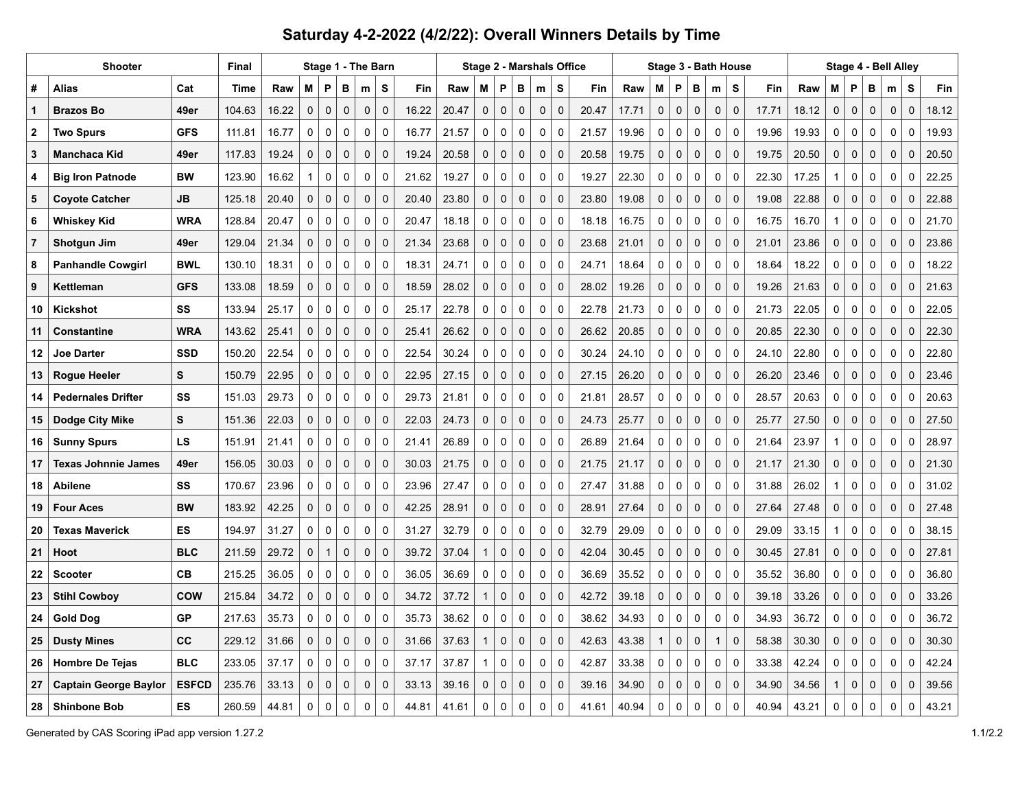## **Saturday 4-2-2022 (4/2/22): Overall Winners Details by Time**

|                | <b>Shooter</b>               | Final        | Stage 1 - The Barn |       |              |              |             |              |             |       |       |              |              |             | Stage 2 - Marshals Office |             | Stage 3 - Bath House |       |              |             |             |              |              | Stage 4 - Bell Alley |       |                     |              |             |                     |             |       |
|----------------|------------------------------|--------------|--------------------|-------|--------------|--------------|-------------|--------------|-------------|-------|-------|--------------|--------------|-------------|---------------------------|-------------|----------------------|-------|--------------|-------------|-------------|--------------|--------------|----------------------|-------|---------------------|--------------|-------------|---------------------|-------------|-------|
| #              | Alias                        | Cat          | Time               | Raw   | М            | P            | в           | m            | S           | Fin   | Raw   | М            | P            | в           | m                         | s           | Fin                  | Raw   | м            | P           | в           | m            | S            | Fin                  | Raw   | м                   | P            | B           | m                   | s           | Fin   |
| $\mathbf 1$    | <b>Brazos Bo</b>             | 49er         | 104.63             | 16.22 | 0            | $\pmb{0}$    | $\pmb{0}$   | 0            | $\mathbf 0$ | 16.22 | 20.47 | $\pmb{0}$    | $\mathbf 0$  | $\mathbf 0$ | 0                         | 0           | 20.47                | 17.71 | 0            | $\mathbf 0$ | $\mathbf 0$ | 0            | 0            | 17.71                | 18.12 | $\mathsf{O}\xspace$ | $\mathbf 0$  | $\pmb{0}$   | $\mathsf{O}\xspace$ | $\mathbf 0$ | 18.12 |
| $\mathbf{2}$   | <b>Two Spurs</b>             | <b>GFS</b>   | 111.81             | 16.77 | $\Omega$     | $\mathbf 0$  | $\mathbf 0$ | 0            | $\Omega$    | 16.77 | 21.57 | $\Omega$     | 0            | $\Omega$    | 0                         | $\Omega$    | 21.57                | 19.96 | $\Omega$     | 0           | $\mathbf 0$ | $\mathbf 0$  | 0            | 19.96                | 19.93 | $\Omega$            | $\Omega$     | $\Omega$    | $\mathbf 0$         | 0           | 19.93 |
| 3              | <b>Manchaca Kid</b>          | 49er         | 117.83             | 19.24 | 0            | $\mathbf 0$  | $\mathbf 0$ | $\mathbf 0$  | $\mathbf 0$ | 19.24 | 20.58 | $\mathbf 0$  | $\mathbf 0$  | $\mathbf 0$ | 0                         | $\mathbf 0$ | 20.58                | 19.75 | $\mathbf{0}$ | 0           | $\mathbf 0$ | $\mathbf 0$  | $\mathbf 0$  | 19.75                | 20.50 | $\mathsf{O}\xspace$ | $\mathbf 0$  | $\mathbf 0$ | $\mathbf 0$         | $\mathbf 0$ | 20.50 |
| 4              | <b>Big Iron Patnode</b>      | <b>BW</b>    | 123.90             | 16.62 | 1            | $\mathbf 0$  | $\mathbf 0$ | $\Omega$     | $\Omega$    | 21.62 | 19.27 | 0            | $\mathbf 0$  | $\mathbf 0$ | 0                         | $\Omega$    | 19.27                | 22.30 | $\Omega$     | $\mathbf 0$ | $\mathbf 0$ | $\mathbf 0$  | $\Omega$     | 22.30                | 17.25 | 1                   | $\Omega$     | $\mathbf 0$ | 0                   | 0           | 22.25 |
| 5              | <b>Coyote Catcher</b>        | <b>JB</b>    | 125.18             | 20.40 | 0            | $\mathbf 0$  | $\mathbf 0$ | $\mathbf 0$  | $\mathbf 0$ | 20.40 | 23.80 | $\mathbf 0$  | $\mathbf 0$  | $\mathbf 0$ | $\mathbf 0$               | $\mathbf 0$ | 23.80                | 19.08 | $\mathbf{0}$ | $\mathbf 0$ | $\mathbf 0$ | $\mathbf 0$  | $\mathbf 0$  | 19.08                | 22.88 | $\mathbf 0$         | $\mathbf{0}$ | $\mathbf 0$ | $\mathbf 0$         | $\mathbf 0$ | 22.88 |
| 6              | Whiskey Kid                  | <b>WRA</b>   | 128.84             | 20.47 | $\Omega$     | $\mathbf 0$  | $\mathbf 0$ | $\Omega$     | $\Omega$    | 20.47 | 18.18 | $\Omega$     | $\mathbf{0}$ | $\mathbf 0$ | $\Omega$                  | $\Omega$    | 18.18                | 16.75 | $\mathbf{0}$ | $\mathbf 0$ | $\mathbf 0$ | $\mathbf 0$  | $\Omega$     | 16.75                | 16.70 | $\mathbf{1}$        | $\Omega$     | $\Omega$    | $\mathbf 0$         | $\Omega$    | 21.70 |
| $\overline{7}$ | Shotgun Jim                  | 49er         | 129.04             | 21.34 | 0            | $\mathbf 0$  | $\mathbf 0$ | $\mathbf 0$  | $\mathbf 0$ | 21.34 | 23.68 | $\mathbf 0$  | $\mathbf 0$  | $\mathbf 0$ | $\mathbf 0$               | $\mathbf 0$ | 23.68                | 21.01 | $\mathbf{0}$ | $\mathbf 0$ | $\mathbf 0$ | $\mathbf 0$  | $\mathbf 0$  | 21.01                | 23.86 | $\mathbf 0$         | $\mathbf 0$  | $\mathbf 0$ | $\mathbf 0$         | $\mathbf 0$ | 23.86 |
| 8              | <b>Panhandle Cowgirl</b>     | <b>BWL</b>   | 130.10             | 18.31 | $\Omega$     | $\mathbf 0$  | $\mathbf 0$ | $\Omega$     | $\mathbf 0$ | 18.31 | 24.71 | $\Omega$     | $\mathbf 0$  | $\mathbf 0$ | 0                         | $\Omega$    | 24.71                | 18.64 | $\Omega$     | $\mathbf 0$ | $\mathbf 0$ | $\mathbf 0$  | $\Omega$     | 18.64                | 18.22 | 0                   | 0            | $\mathbf 0$ | $\mathbf 0$         | $\mathbf 0$ | 18.22 |
| 9              | Kettleman                    | <b>GFS</b>   | 133.08             | 18.59 | 0            | $\mathbf 0$  | $\mathbf 0$ | $\mathbf 0$  | $\mathbf 0$ | 18.59 | 28.02 | $\mathbf 0$  | $\mathbf 0$  | $\mathbf 0$ | $\mathbf 0$               | $\mathbf 0$ | 28.02                | 19.26 | $\mathbf{0}$ | $\mathbf 0$ | $\mathbf 0$ | $\mathbf 0$  | $\mathbf 0$  | 19.26                | 21.63 | $\mathbf 0$         | $\mathbf{0}$ | $\mathbf 0$ | $\mathbf 0$         | $\mathbf 0$ | 21.63 |
| 10             | Kickshot                     | SS           | 133.94             | 25.17 | $\Omega$     | $\mathbf 0$  | $\mathbf 0$ | $\mathbf{0}$ | $\mathbf 0$ | 25.17 | 22.78 | $\mathbf 0$  | $\mathbf 0$  | $\mathbf 0$ | 0                         | $\Omega$    | 22.78                | 21.73 | $\mathbf{0}$ | $\mathbf 0$ | $\mathbf 0$ | $\mathbf 0$  | $\mathbf 0$  | 21.73                | 22.05 | 0                   | $\mathbf 0$  | 0           | $\mathbf 0$         | 0           | 22.05 |
| 11             | <b>Constantine</b>           | <b>WRA</b>   | 143.62             | 25.41 | 0            | $\mathbf 0$  | $\mathbf 0$ | $\mathbf 0$  | $\mathbf 0$ | 25.41 | 26.62 | $\mathbf 0$  | $\mathbf 0$  | $\mathbf 0$ | $\mathbf{0}$              | $\mathbf 0$ | 26.62                | 20.85 | $\mathbf{0}$ | $\mathbf 0$ | $\mathbf 0$ | $\mathbf 0$  | $\mathbf 0$  | 20.85                | 22.30 | $\mathbf 0$         | $\mathbf{0}$ | $\mathbf 0$ | $\mathbf 0$         | $\mathbf 0$ | 22.30 |
| 12             | <b>Joe Darter</b>            | <b>SSD</b>   | 150.20             | 22.54 | 0            | 0            | $\mathbf 0$ | $\mathbf{0}$ | 0           | 22.54 | 30.24 | 0            | 0            | 0           | 0                         | $\Omega$    | 30.24                | 24.10 | 0            | 0           | 0           | 0            | 0            | 24.10                | 22.80 | 0                   | 0            | 0           | 0                   | 0           | 22.80 |
| 13             | Rogue Heeler                 | S            | 150.79             | 22.95 | 0            | $\mathbf 0$  | $\mathbf 0$ | $\mathbf 0$  | $\mathbf 0$ | 22.95 | 27.15 | $\mathbf 0$  | $\mathbf 0$  | $\mathbf 0$ | 0                         | $\mathbf 0$ | 27.15                | 26.20 | $\mathbf{0}$ | $\mathbf 0$ | $\mathbf 0$ | $\mathbf 0$  | $\mathbf 0$  | 26.20                | 23.46 | $\mathbf 0$         | $\mathbf{0}$ | $\mathbf 0$ | $\mathbf 0$         | $\mathbf 0$ | 23.46 |
| 14             | <b>Pedernales Drifter</b>    | SS           | 151.03             | 29.73 | 0            | 0            | 0           | $\mathbf 0$  | 0           | 29.73 | 21.81 | $\mathbf 0$  | $\mathbf 0$  | 0           | 0                         | $\mathbf 0$ | 21.81                | 28.57 | $\mathbf 0$  | 0           | 0           | 0            | 0            | 28.57                | 20.63 | 0                   | $\mathbf 0$  | 0           | 0                   | 0           | 20.63 |
| 15             | Dodge City Mike              | S            | 151.36             | 22.03 | 0            | $\mathbf 0$  | $\Omega$    | $\mathbf 0$  | $\mathbf 0$ | 22.03 | 24.73 | $\mathbf 0$  | $\mathbf 0$  | $\mathbf 0$ | $\mathbf 0$               | $\mathbf 0$ | 24.73                | 25.77 | $\mathbf{0}$ | $\mathbf 0$ | $\mathbf 0$ | $\mathbf 0$  | $\mathbf 0$  | 25.77                | 27.50 | $\mathbf{0}$        | $\mathbf 0$  | $\mathbf 0$ | $\mathbf 0$         | $\mathbf 0$ | 27.50 |
| 16             | <b>Sunny Spurs</b>           | LS           | 151.91             | 21.41 | 0            | 0            | $\mathbf 0$ | 0            | 0           | 21.41 | 26.89 | 0            | 0            | 0           | 0                         | 0           | 26.89                | 21.64 | 0            | 0           | 0           | 0            | 0            | 21.64                | 23.97 | $\mathbf{1}$        | 0            | 0           | 0                   | 0           | 28.97 |
| 17             | <b>Texas Johnnie James</b>   | 49er         | 156.05             | 30.03 | $\mathbf{0}$ | $\mathbf 0$  | $\mathbf 0$ | $\mathbf 0$  | $\mathbf 0$ | 30.03 | 21.75 | $\mathbf 0$  | $\mathbf 0$  | $\mathbf 0$ | $\mathbf 0$               | $\mathbf 0$ | 21.75                | 21.17 | $\mathbf{0}$ | $\mathbf 0$ | $\mathbf 0$ | $\mathbf 0$  | $\mathbf 0$  | 21.17                | 21.30 | $\mathbf 0$         | $\mathbf{0}$ | $\mathbf 0$ | $\mathbf 0$         | $\mathbf 0$ | 21.30 |
| 18             | <b>Abilene</b>               | SS           | 170.67             | 23.96 | 0            | 0            | $\mathbf 0$ | $\mathbf 0$  | 0           | 23.96 | 27.47 | 0            | 0            | $\mathbf 0$ | 0                         | 0           | 27.47                | 31.88 | 0            | 0           | 0           | 0            | $\mathbf 0$  | 31.88                | 26.02 | $\mathbf{1}$        | 0            | $\mathbf 0$ | 0                   | 0           | 31.02 |
| 19             | <b>Four Aces</b>             | <b>BW</b>    | 183.92             | 42.25 | $\Omega$     | $\mathbf 0$  | $\Omega$    | $\mathbf 0$  | $\mathbf 0$ | 42.25 | 28.91 | $\mathbf 0$  | $\mathbf 0$  | $\mathbf 0$ | 0                         | $\Omega$    | 28.91                | 27.64 | $\Omega$     | $\mathbf 0$ | $\mathbf 0$ | $\mathbf 0$  | $\Omega$     | 27.64                | 27.48 | $\mathbf{0}$        | $\Omega$     | $\mathbf 0$ | $\mathbf 0$         | $\mathbf 0$ | 27.48 |
| 20             | <b>Texas Maverick</b>        | ES           | 194.97             | 31.27 | 0            | 0            | $\mathbf 0$ | 0            | 0           | 31.27 | 32.79 | 0            | 0            | 0           | 0                         | 0           | 32.79                | 29.09 | 0            | 0           | 0           | 0            | 0            | 29.09                | 33.15 | 1                   | 0            | 0           | 0                   | 0           | 38.15 |
| 21             | Hoot                         | <b>BLC</b>   | 211.59             | 29.72 | 0            | $\mathbf{1}$ | $\mathbf 0$ | $\mathbf 0$  | $\mathbf 0$ | 39.72 | 37.04 | $\mathbf{1}$ | $\mathbf 0$  | $\mathbf 0$ | $\mathbf 0$               | $\Omega$    | 42.04                | 30.45 | $\Omega$     | $\mathbf 0$ | $\mathbf 0$ | $\mathbf 0$  | $\mathbf 0$  | 30.45                | 27.81 | $\mathbf 0$         | $\Omega$     | $\mathbf 0$ | $\mathbf 0$         | $\mathbf 0$ | 27.81 |
| 22             | <b>Scooter</b>               | <b>CB</b>    | 215.25             | 36.05 | 0            | 0            | $\mathbf 0$ | $\mathbf 0$  | $\mathbf 0$ | 36.05 | 36.69 | 0            | $\mathbf 0$  | $\mathbf 0$ | 0                         | 0           | 36.69                | 35.52 | 0            | $\mathbf 0$ | 0           | 0            | $\mathbf 0$  | 35.52                | 36.80 | 0                   | 0            | $\mathbf 0$ | 0                   | $\mathbf 0$ | 36.80 |
| 23             | <b>Stihl Cowboy</b>          | COW          | 215.84             | 34.72 | $\Omega$     | $\mathbf 0$  | $\Omega$    | $\Omega$     | $\Omega$    | 34.72 | 37.72 | 1            | 0            | $\mathbf 0$ | $\Omega$                  | $\Omega$    | 42.72                | 39.18 | 0            | $\mathbf 0$ | $\mathbf 0$ | 0            | $\mathbf{0}$ | 39.18                | 33.26 | $\Omega$            | $\Omega$     | $\Omega$    | $\pmb{0}$           | $\Omega$    | 33.26 |
| 24             | <b>Gold Dog</b>              | <b>GP</b>    | 217.63             | 35.73 | 0            | 0            | $\mathbf 0$ | 0            | $\mathbf 0$ | 35.73 | 38.62 | 0            | 0            | $\mathbf 0$ | 0                         | 0           | 38.62                | 34.93 | 0            | 0           | 0           | $\mathbf 0$  | $\mathbf 0$  | 34.93                | 36.72 | 0                   | 0            | $\mathbf 0$ | 0                   | $\mathbf 0$ | 36.72 |
| 25             | <b>Dusty Mines</b>           | CC           | 229.12             | 31.66 | $\Omega$     | $\mathbf 0$  | $\mathbf 0$ | $\Omega$     | $\mathbf 0$ | 31.66 | 37.63 | 1            | $\pmb{0}$    | $\mathbf 0$ | 0                         | $\Omega$    | 42.63                | 43.38 | $\mathbf{1}$ | $\mathbf 0$ | $\mathbf 0$ | $\mathbf{1}$ | $\mathbf{0}$ | 58.38                | 30.30 | $\Omega$            | $\Omega$     | $\mathbf 0$ | $\pmb{0}$           | $\mathbf 0$ | 30.30 |
| 26             | <b>Hombre De Tejas</b>       | <b>BLC</b>   | 233.05             | 37.17 | 0            | $\mathbf 0$  | $\mathbf 0$ | 0            | $\mathbf 0$ | 37.17 | 37.87 | 1            | 0            | $\mathbf 0$ | 0                         | $\mathbf 0$ | 42.87                | 33.38 | 0            | $\mathbf 0$ | 0           | $\mathbf 0$  | $\mathbf 0$  | 33.38                | 42.24 | 0                   | 0            | $\mathbf 0$ | $\mathbf 0$         | 0           | 42.24 |
| 27             | <b>Captain George Baylor</b> | <b>ESFCD</b> | 235.76             | 33.13 | O            | $\mathbf 0$  | $\Omega$    | $\mathbf 0$  | $\mathbf 0$ | 33.13 | 39.16 | 0            | $\mathbf 0$  | $\Omega$    | $\Omega$                  | $\Omega$    | 39.16                | 34.90 | $\Omega$     | $\mathbf 0$ | 0           | $\mathbf 0$  | $\mathbf 0$  | 34.90                | 34.56 |                     | $\mathbf 0$  | $\mathbf 0$ | $\mathbf 0$         | $\mathbf 0$ | 39.56 |
| 28             | <b>Shinbone Bob</b>          | <b>ES</b>    | 260.59             | 44.81 | 0            | $\Omega$     | $\Omega$    | $\Omega$     | $\Omega$    | 44.81 | 41.61 | 0            | 0            | $\Omega$    | $\Omega$                  | $\Omega$    | 41.61                | 40.94 | 0            | 0           | $\Omega$    | $\Omega$     | 0            | 40.94                | 43.21 | $\Omega$            | $\Omega$     | $\Omega$    | $\Omega$            | $\mathbf 0$ | 43.21 |

Generated by CAS Scoring iPad app version 1.27.2 1.1/2.2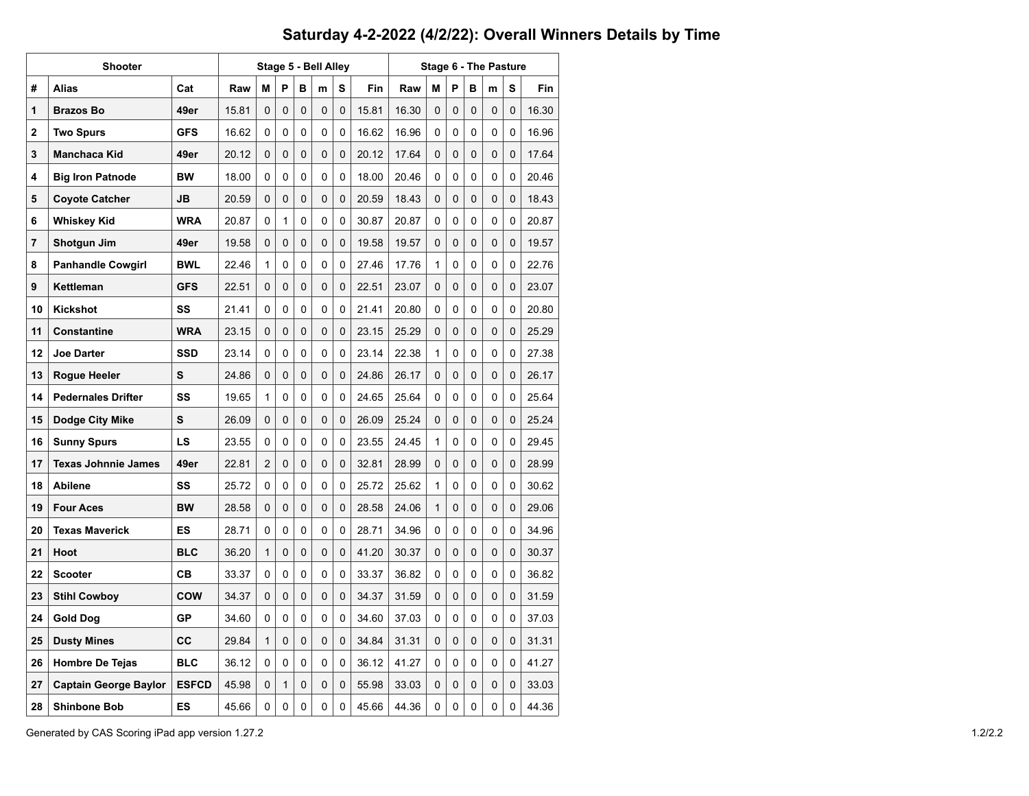## **Saturday 4-2-2022 (4/2/22): Overall Winners Details by Time**

|    | Shooter                      |              |       |   |              | Stage 5 - Bell Alley |   |          | Stage 6 - The Pasture |       |          |          |          |   |          |       |  |  |
|----|------------------------------|--------------|-------|---|--------------|----------------------|---|----------|-----------------------|-------|----------|----------|----------|---|----------|-------|--|--|
| #  | Alias                        | Cat          | Raw   | М | P            | в                    | m | s        | Fin                   | Raw   | м        | P        | в        | m | s        | Fin   |  |  |
| 1  | <b>Brazos Bo</b>             | 49er         | 15.81 | 0 | 0            | 0                    | 0 | 0        | 15.81                 | 16.30 | 0        | 0        | 0        | 0 | 0        | 16.30 |  |  |
| 2  | <b>Two Spurs</b>             | <b>GFS</b>   | 16.62 | 0 | 0            | 0                    | 0 | 0        | 16.62                 | 16.96 | 0        | 0        | 0        | 0 | 0        | 16.96 |  |  |
| 3  | <b>Manchaca Kid</b>          | 49er         | 20.12 | 0 | 0            | 0                    | 0 | 0        | 20.12                 | 17.64 | 0        | 0        | 0        | 0 | 0        | 17.64 |  |  |
| 4  | <b>Big Iron Patnode</b>      | <b>BW</b>    | 18.00 | 0 | 0            | 0                    | 0 | $\Omega$ | 18.00                 | 20.46 | 0        | 0        | $\Omega$ | 0 | $\Omega$ | 20.46 |  |  |
| 5  | <b>Coyote Catcher</b>        | JB           | 20.59 | 0 | 0            | $\Omega$             | 0 | $\Omega$ | 20.59                 | 18.43 | 0        | 0        | 0        | 0 | 0        | 18.43 |  |  |
| 6  | Whiskey Kid                  | <b>WRA</b>   | 20.87 | 0 | $\mathbf{1}$ | 0                    | 0 | 0        | 30.87                 | 20.87 | 0        | 0        | 0        | 0 | 0        | 20.87 |  |  |
| 7  | Shotgun Jim                  | 49er         | 19.58 | 0 | 0            | 0                    | 0 | 0        | 19.58                 | 19.57 | 0        | 0        | 0        | 0 | 0        | 19.57 |  |  |
| 8  | <b>Panhandle Cowgirl</b>     | <b>BWL</b>   | 22.46 | 1 | 0            | 0                    | 0 | 0        | 27.46                 | 17.76 | 1        | 0        | $\Omega$ | 0 | 0        | 22.76 |  |  |
| 9  | Kettleman                    | <b>GFS</b>   | 22.51 | 0 | 0            | $\Omega$             | 0 | $\Omega$ | 22.51                 | 23.07 | 0        | $\Omega$ | 0        | 0 | $\Omega$ | 23.07 |  |  |
| 10 | Kickshot                     | SS           | 21.41 | 0 | 0            | $\Omega$             | 0 | 0        | 21.41                 | 20.80 | 0        | 0        | $\Omega$ | 0 | 0        | 20.80 |  |  |
| 11 | Constantine                  | <b>WRA</b>   | 23.15 | 0 | 0            | 0                    | 0 | 0        | 23.15                 | 25.29 | 0        | 0        | 0        | 0 | 0        | 25.29 |  |  |
| 12 | <b>Joe Darter</b>            | <b>SSD</b>   | 23.14 | 0 | 0            | 0                    | 0 | 0        | 23.14                 | 22.38 | 1        | 0        | 0        | 0 | 0        | 27.38 |  |  |
| 13 | Rogue Heeler                 | S            | 24.86 | 0 | 0            | 0                    | 0 | 0        | 24.86                 | 26.17 | 0        | 0        | 0        | 0 | $\Omega$ | 26.17 |  |  |
| 14 | <b>Pedernales Drifter</b>    | SS           | 19.65 | 1 | 0            | $\Omega$             | 0 | 0        | 24.65                 | 25.64 | 0        | 0        | $\Omega$ | 0 | 0        | 25.64 |  |  |
| 15 | Dodge City Mike              | S            | 26.09 | 0 | 0            | 0                    | 0 | 0        | 26.09                 | 25.24 | 0        | 0        | 0        | 0 | $\Omega$ | 25.24 |  |  |
| 16 | <b>Sunny Spurs</b>           | LS           | 23.55 | 0 | 0            | $\mathbf{0}$         | 0 | 0        | 23.55                 | 24.45 | 1        | 0        | 0        | 0 | 0        | 29.45 |  |  |
| 17 | <b>Texas Johnnie James</b>   | 49er         | 22.81 | 2 | 0            | 0                    | 0 | 0        | 32.81                 | 28.99 | 0        | 0        | 0        | 0 | 0        | 28.99 |  |  |
| 18 | <b>Abilene</b>               | SS           | 25.72 | 0 | 0            | 0                    | 0 | 0        | 25.72                 | 25.62 | 1        | 0        | 0        | 0 | 0        | 30.62 |  |  |
| 19 | <b>Four Aces</b>             | <b>BW</b>    | 28.58 | 0 | 0            | 0                    | 0 | 0        | 28.58                 | 24.06 | 1        | 0        | 0        | 0 | 0        | 29.06 |  |  |
| 20 | <b>Texas Maverick</b>        | ES           | 28.71 | 0 | 0            | 0                    | 0 | 0        | 28.71                 | 34.96 | 0        | 0        | 0        | 0 | 0        | 34.96 |  |  |
| 21 | Hoot                         | <b>BLC</b>   | 36.20 | 1 | 0            | 0                    | 0 | $\Omega$ | 41.20                 | 30.37 | 0        | 0        | 0        | 0 | 0        | 30.37 |  |  |
| 22 | <b>Scooter</b>               | CВ           | 33.37 | 0 | 0            | $\Omega$             | 0 | 0        | 33.37                 | 36.82 | 0        | 0        | $\Omega$ | 0 | $\Omega$ | 36.82 |  |  |
| 23 | <b>Stihl Cowboy</b>          | <b>COW</b>   | 34.37 | 0 | 0            | 0                    | 0 | 0        | 34.37                 | 31.59 | 0        | 0        | 0        | 0 | 0        | 31.59 |  |  |
| 24 | <b>Gold Dog</b>              | <b>GP</b>    | 34.60 | 0 | 0            | 0                    | 0 | 0        | 34.60                 | 37.03 | 0        | 0        | 0        | 0 | 0        | 37.03 |  |  |
| 25 | <b>Dusty Mines</b>           | cc           | 29.84 | 1 | 0            | 0                    | 0 | 0        | 34.84                 | 31.31 | 0        | 0        | 0        | 0 | 0        | 31.31 |  |  |
| 26 | <b>Hombre De Tejas</b>       | <b>BLC</b>   | 36.12 | 0 | 0            | 0                    | 0 | 0        | 36.12                 | 41.27 | 0        | 0        | 0        | 0 | 0        | 41.27 |  |  |
| 27 | <b>Captain George Baylor</b> | <b>ESFCD</b> | 45.98 | 0 | 1            | 0                    | 0 | $\Omega$ | 55.98                 | 33.03 | $\Omega$ | 0        | 0        | 0 | 0        | 33.03 |  |  |
| 28 | <b>Shinbone Bob</b>          | ES           | 45.66 | 0 | 0            | 0                    | 0 | 0        | 45.66                 | 44.36 | 0        | 0        | 0        | 0 | 0        | 44.36 |  |  |

Generated by CAS Scoring iPad app version 1.27.2 1.2/2.2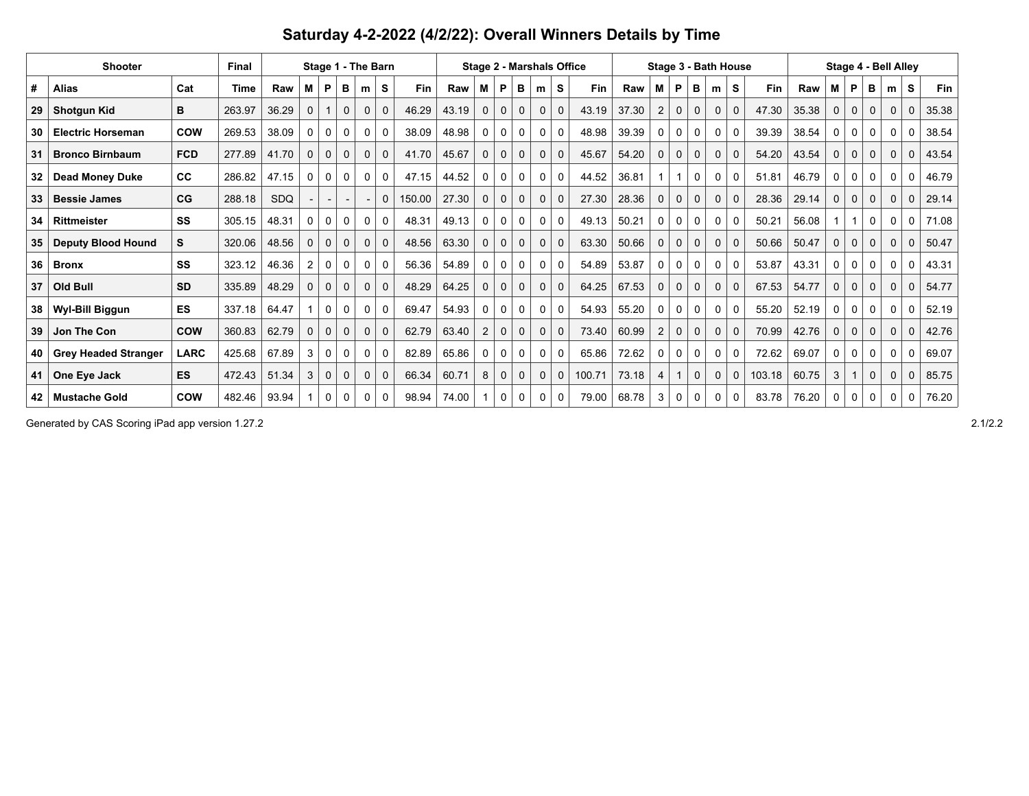| Saturday 4-2-2022 (4/2/22): Overall Winners Details by Time |  |  |
|-------------------------------------------------------------|--|--|
|-------------------------------------------------------------|--|--|

|    | <b>Shooter</b>              | <b>Final</b> | Stage 1 - The Barn |            |                |              |              |              |              |            |       |                |              | <b>Stage 2 - Marshals Office</b> |              |              |            | Stage 3 - Bath House | Stage 4 - Bell Alley |              |              |              |              |        |       |              |              |          |             |             |            |
|----|-----------------------------|--------------|--------------------|------------|----------------|--------------|--------------|--------------|--------------|------------|-------|----------------|--------------|----------------------------------|--------------|--------------|------------|----------------------|----------------------|--------------|--------------|--------------|--------------|--------|-------|--------------|--------------|----------|-------------|-------------|------------|
| #  | <b>Alias</b>                | Cat          | Time               | Raw        | М              | P            | в            | m            | S            | <b>Fin</b> | Raw   | м              | P            | в                                | m            | S            | <b>Fin</b> | Raw                  | M                    | P            | в            | m            | S            | Fin    | Raw   | М            | P            | в        | m           | S           | <b>Fin</b> |
| 29 | <b>Shotgun Kid</b>          | в            | 263.97             | 36.29      | 0              |              | $\mathbf 0$  | $\mathbf 0$  | $\mathbf 0$  | 46.29      | 43.19 | 0              | $\mathbf{0}$ | $\mathbf 0$                      | $\mathbf 0$  | $\mathbf 0$  | 43.19      | 37.30                | $\overline{2}$       | $\mathbf 0$  | 0            | $\mathbf 0$  | $\mathbf 0$  | 47.30  | 35.38 | $\mathbf{0}$ | $\mathbf 0$  | 0        | $\mathbf 0$ | $\mathbf 0$ | 35.38      |
| 30 | <b>Electric Horseman</b>    | COW          | 269.53             | 38.09      | 0              | $\mathbf{0}$ | 0            | $\mathbf{0}$ | $\mathbf{0}$ | 38.09      | 48.98 | 0              | 0            | 0                                | 0            | 0            | 48.98      | 39.39                | 0                    | $\Omega$     | 0            | 0            | $\mathbf{0}$ | 39.39  | 38.54 | 0            | 0            | 0        | $\Omega$    | 0           | 38.54      |
| 31 | <b>Bronco Birnbaum</b>      | <b>FCD</b>   | 277.89             | 41.70      | $\mathbf 0$    | $\mathbf 0$  | $\mathbf 0$  | $\mathbf 0$  | $\mathbf 0$  | 41.70      | 45.67 | $\mathbf 0$    | 0            | $\mathbf 0$                      | $\mathbf 0$  | $\mathbf 0$  | 45.67      | 54.20                | 0                    | $\mathbf 0$  | 0            | $\mathbf 0$  | $\mathbf 0$  | 54.20  | 43.54 | $\mathbf 0$  | $\mathbf 0$  | 0        | $\mathbf 0$ | $\mathbf 0$ | 43.54      |
| 32 | <b>Dead Money Duke</b>      | CC           | 286.82             | 47.15      | 0              | $\mathbf{0}$ | 0            | 0            | 0            | 47.15      | 44.52 | 0              | 0            | 0                                | 0            | 0            | 44.52      | 36.81                |                      |              | 0            | 0            | $\Omega$     | 51.81  | 46.79 | 0            | 0            | 0        | 0           | $\mathbf 0$ | 46.79      |
| 33 | <b>Bessie James</b>         | CG           | 288.18             | <b>SDQ</b> |                |              |              |              | 0            | 150.00     | 27.30 | $\mathbf 0$    | $\mathbf{0}$ | $\mathbf 0$                      | $\mathbf{0}$ | $\mathbf 0$  | 27.30      | 28.36                | $\mathbf{0}$         | $\mathbf{0}$ | 0            | $\mathbf 0$  | $\mathbf 0$  | 28.36  | 29.14 | $\mathbf 0$  | $\mathbf 0$  | $\Omega$ | $\Omega$    | $\mathbf 0$ | 29.14      |
| 34 | Rittmeister                 | SS           | 305.15             | 48.31      | 0              | $\Omega$     | 0            | 0            | 0            | 48.31      | 49.13 | 0              | 0            | 0                                | 0            | 0            | 49.13      | 50.21                | 0                    | 0            | 0            | 0            | 0            | 50.21  | 56.08 |              |              | $\Omega$ | 0           | 0           | 71.08      |
| 35 | <b>Deputy Blood Hound</b>   | S.           | 320.06             | 48.56      | $\Omega$       | $\Omega$     | $\Omega$     | $\mathbf{0}$ | $\Omega$     | 48.56      | 63.30 | $\Omega$       | $\Omega$     | $\Omega$                         | $\Omega$     | $\mathbf 0$  | 63.30      | 50.66                | $\mathbf{0}$         | $\Omega$     | 0            | $\mathbf{0}$ | $\mathbf{0}$ | 50.66  | 50.47 | 0            | $\mathbf{0}$ | $\Omega$ | $\Omega$    | $\mathbf 0$ | 50.47      |
| 36 | <b>Bronx</b>                | SS           | 323.12             | 46.36      | $\overline{2}$ | 0            | 0            | $\mathbf 0$  | 0            | 56.36      | 54.89 | 0              | 0            | 0                                | 0            | 0            | 54.89      | 53.87                | 0                    | $\mathbf 0$  | 0            | $\mathbf 0$  | $\mathbf 0$  | 53.87  | 43.31 | 0            | $\mathbf 0$  | 0        | $\Omega$    | $\mathbf 0$ | 43.31      |
| 37 | Old Bull                    | <b>SD</b>    | 335.89             | 48.29      | $\Omega$       | $\Omega$     | $\mathbf{0}$ | 0            | $\Omega$     | 48.29      | 64.25 | 0              | $\Omega$     | $\mathbf{0}$                     | $\mathbf 0$  | $\mathbf{0}$ | 64.25      | 67.53                | 0                    | $\mathbf 0$  | 0            | $\mathbf 0$  | $\mathbf 0$  | 67.53  | 54.77 | 0            | $\mathbf 0$  | $\Omega$ | $\Omega$    | $\mathbf 0$ | 54.77      |
| 38 | Wyl-Bill Biggun             | ES           | 337.18             | 64.47      |                | $\mathbf{0}$ | 0            | 0            | 0            | 69.47      | 54.93 | 0              | 0            | 0                                | 0            | 0            | 54.93      | 55.20                | 0                    | $\mathbf{0}$ | 0            | 0            | 0            | 55.20  | 52.19 | 0            | 0            | 0        | $\Omega$    | 0           | 52.19      |
| 39 | Jon The Con                 | <b>COW</b>   | 360.83             | 62.79      | $\Omega$       | $\mathbf 0$  | $\mathbf 0$  | $\mathbf 0$  | $\mathbf 0$  | 62.79      | 63.40 | $\overline{2}$ | 0            | $\mathbf 0$                      | $\mathbf 0$  | $\mathbf 0$  | 73.40      | 60.99                | $\overline{2}$       | $\mathbf{0}$ | $\mathbf{0}$ | $\mathbf 0$  | $\mathbf 0$  | 70.99  | 42.76 | $\mathbf{0}$ | $\mathbf 0$  | $\Omega$ | $\Omega$    | $\mathbf 0$ | 42.76      |
| 40 | <b>Grey Headed Stranger</b> | <b>LARC</b>  | 425.68             | 67.89      | 3              | $\mathbf 0$  | 0            | 0            | 0            | 82.89      | 65.86 | 0              | 0            | 0                                | 0            | 0            | 65.86      | 72.62                | 0                    | 0            | 0            | 0            | $\mathbf 0$  | 72.62  | 69.07 | 0            | 0            | 0        | 0           | $\mathbf 0$ | 69.07      |
|    | One Eye Jack                | <b>ES</b>    | 472.43             | 51.34      | 3              | $\Omega$     | $\Omega$     | $\mathbf 0$  | $\mathbf 0$  | 66.34      | 60.71 | 8              | $\Omega$     | $\Omega$                         | $\mathbf 0$  | $\mathbf 0$  | 100.71     | 73.18                | 4                    |              | 0            | $\mathbf 0$  | $\mathbf 0$  | 103.18 | 60.75 | 3            |              | $\Omega$ | $\Omega$    | $\mathbf 0$ | 85.75      |
| 42 | <b>Mustache Gold</b>        | <b>COW</b>   | 482.46             | 93.94      |                | $\mathbf{0}$ | 0            | 0            | 0            | 98.94      | 74.00 |                | 0            | 0                                | 0            | 0            | 79.00      | 68.78                | 3                    | 0            | 0            | 0            | 0            | 83.78  | 76.20 | 0            | $\mathbf 0$  | 0        | 0           | 0           | 76.20      |

Generated by CAS Scoring iPad app version 1.27.2 2.1/2.2